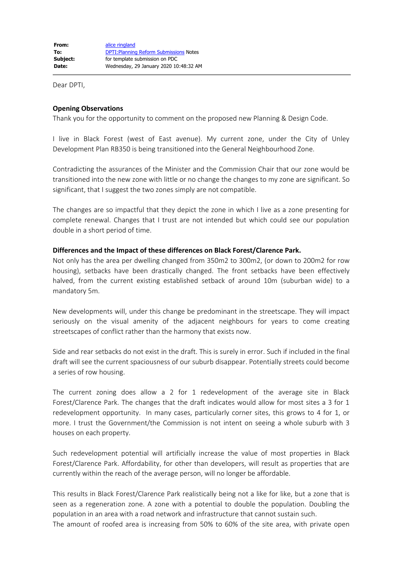Dear DPTI,

# **Opening Observations**

Thank you for the opportunity to comment on the proposed new Planning & Design Code.

I live in Black Forest (west of East avenue). My current zone, under the City of Unley Development Plan RB350 is being transitioned into the General Neighbourhood Zone.

Contradicting the assurances of the Minister and the Commission Chair that our zone would be transitioned into the new zone with little or no change the changes to my zone are significant. So significant, that I suggest the two zones simply are not compatible.

The changes are so impactful that they depict the zone in which I live as a zone presenting for complete renewal. Changes that I trust are not intended but which could see our population double in a short period of time.

# **Differences and the Impact of these differences on Black Forest/Clarence Park.**

Not only has the area per dwelling changed from 350m2 to 300m2, (or down to 200m2 for row housing), setbacks have been drastically changed. The front setbacks have been effectively halved, from the current existing established setback of around 10m (suburban wide) to a mandatory 5m.

New developments will, under this change be predominant in the streetscape. They will impact seriously on the visual amenity of the adjacent neighbours for years to come creating streetscapes of conflict rather than the harmony that exists now.

Side and rear setbacks do not exist in the draft. This is surely in error. Such if included in the final draft will see the current spaciousness of our suburb disappear. Potentially streets could become a series of row housing.

The current zoning does allow a 2 for 1 redevelopment of the average site in Black Forest/Clarence Park. The changes that the draft indicates would allow for most sites a 3 for 1 redevelopment opportunity. In many cases, particularly corner sites, this grows to 4 for 1, or more. I trust the Government/the Commission is not intent on seeing a whole suburb with 3 houses on each property.

Such redevelopment potential will artificially increase the value of most properties in Black Forest/Clarence Park. Affordability, for other than developers, will result as properties that are currently within the reach of the average person, will no longer be affordable.

This results in Black Forest/Clarence Park realistically being not a like for like, but a zone that is seen as a regeneration zone. A zone with a potential to double the population. Doubling the population in an area with a road network and infrastructure that cannot sustain such. The amount of roofed area is increasing from 50% to 60% of the site area, with private open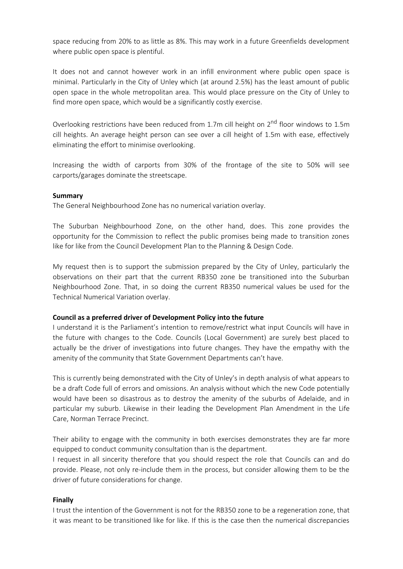space reducing from 20% to as little as 8%. This may work in a future Greenfields development where public open space is plentiful.

It does not and cannot however work in an infill environment where public open space is minimal. Particularly in the City of Unley which (at around 2.5%) has the least amount of public open space in the whole metropolitan area. This would place pressure on the City of Unley to find more open space, which would be a significantly costly exercise.

Overlooking restrictions have been reduced from 1.7m cill height on  $2^{nd}$  floor windows to 1.5m cill heights. An average height person can see over a cill height of 1.5m with ease, effectively eliminating the effort to minimise overlooking.

Increasing the width of carports from 30% of the frontage of the site to 50% will see carports/garages dominate the streetscape.

### **Summary**

The General Neighbourhood Zone has no numerical variation overlay.

The Suburban Neighbourhood Zone, on the other hand, does. This zone provides the opportunity for the Commission to reflect the public promises being made to transition zones like for like from the Council Development Plan to the Planning & Design Code.

My request then is to support the submission prepared by the City of Unley, particularly the observations on their part that the current RB350 zone be transitioned into the Suburban Neighbourhood Zone. That, in so doing the current RB350 numerical values be used for the Technical Numerical Variation overlay.

### **Council as a preferred driver of Development Policy into the future**

I understand it is the Parliament's intention to remove/restrict what input Councils will have in the future with changes to the Code. Councils (Local Government) are surely best placed to actually be the driver of investigations into future changes. They have the empathy with the amenity of the community that State Government Departments can't have.

This is currently being demonstrated with the City of Unley's in depth analysis of what appears to be a draft Code full of errors and omissions. An analysis without which the new Code potentially would have been so disastrous as to destroy the amenity of the suburbs of Adelaide, and in particular my suburb. Likewise in their leading the Development Plan Amendment in the Life Care, Norman Terrace Precinct.

Their ability to engage with the community in both exercises demonstrates they are far more equipped to conduct community consultation than is the department.

I request in all sincerity therefore that you should respect the role that Councils can and do provide. Please, not only re-include them in the process, but consider allowing them to be the driver of future considerations for change.

# **Finally**

I trust the intention of the Government is not for the RB350 zone to be a regeneration zone, that it was meant to be transitioned like for like. If this is the case then the numerical discrepancies